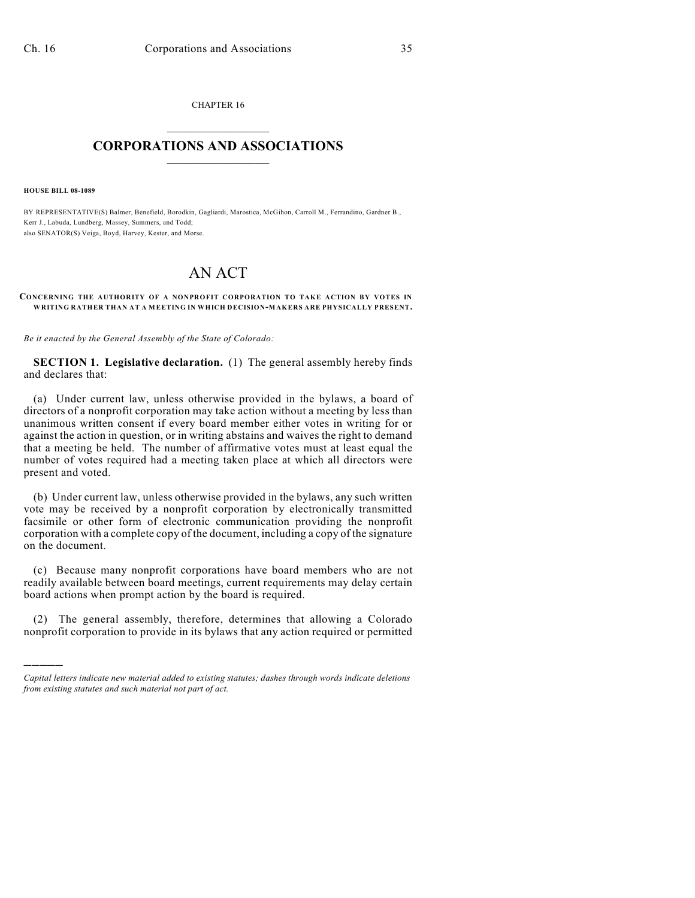CHAPTER 16  $\overline{\phantom{a}}$  . The set of the set of the set of the set of the set of the set of the set of the set of the set of the set of the set of the set of the set of the set of the set of the set of the set of the set of the set o

## **CORPORATIONS AND ASSOCIATIONS**  $\_$   $\_$   $\_$   $\_$   $\_$   $\_$   $\_$   $\_$   $\_$

**HOUSE BILL 08-1089**

)))))

BY REPRESENTATIVE(S) Balmer, Benefield, Borodkin, Gagliardi, Marostica, McGihon, Carroll M., Ferrandino, Gardner B., Kerr J., Labuda, Lundberg, Massey, Summers, and Todd; also SENATOR(S) Veiga, Boyd, Harvey, Kester, and Morse.

## AN ACT

## **CONCERNING THE AUTHORITY OF A NONPROFIT CORPORATION TO TAKE ACTION BY VOTES IN WRITING RATHER THAN AT A M EETING IN WHICH DECISION-MAKERS ARE PHYSICALLY PRESENT.**

*Be it enacted by the General Assembly of the State of Colorado:*

**SECTION 1. Legislative declaration.** (1) The general assembly hereby finds and declares that:

(a) Under current law, unless otherwise provided in the bylaws, a board of directors of a nonprofit corporation may take action without a meeting by less than unanimous written consent if every board member either votes in writing for or against the action in question, or in writing abstains and waives the right to demand that a meeting be held. The number of affirmative votes must at least equal the number of votes required had a meeting taken place at which all directors were present and voted.

(b) Under current law, unless otherwise provided in the bylaws, any such written vote may be received by a nonprofit corporation by electronically transmitted facsimile or other form of electronic communication providing the nonprofit corporation with a complete copy of the document, including a copy of the signature on the document.

(c) Because many nonprofit corporations have board members who are not readily available between board meetings, current requirements may delay certain board actions when prompt action by the board is required.

(2) The general assembly, therefore, determines that allowing a Colorado nonprofit corporation to provide in its bylaws that any action required or permitted

*Capital letters indicate new material added to existing statutes; dashes through words indicate deletions from existing statutes and such material not part of act.*